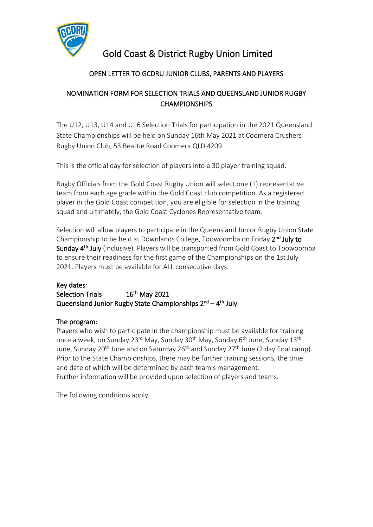

# Gold Coast & District Rugby Union Limited

## OPEN LETTER TO GCDRU JUNIOR CLUBS, PARENTS AND PLAYERS

## NOMINATION FORM FOR SELECTION TRIALS AND QUEENSLAND JUNIOR RUGBY **CHAMPIONSHIPS**

The U12, U13, U14 and U16 Selection Trials for participation in the 2021 Queensland State Championships will be held on Sunday 16th May 2021 at Coomera Crushers Rugby Union Club, 53 Beattie Road Coomera QLD 4209.

This is the official day for selection of players into a 30 player training squad.

Rugby Officials from the Gold Coast Rugby Union will select one (1) representative team from each age grade within the Gold Coast club competition. As a registered player in the Gold Coast competition, you are eligible for selection in the training squad and ultimately, the Gold Coast Cyclones Representative team.

Selection will allow players to participate in the Queensland Junior Rugby Union State Championship to be held at Downlands College, Toowoomba on Friday 2<sup>nd</sup> July to Sunday 4<sup>th</sup> July (inclusive). Players will be transported from Gold Coast to Toowoomba to ensure their readiness for the first game of the Championships on the 1st July 2021. Players must be available for ALL consecutive days.

### Key dates:

Selection Trials <sup>th</sup> May 2021 Queensland Junior Rugby State Championships 2<sup>nd</sup> – 4<sup>th</sup> July

### The program:

Players who wish to participate in the championship must be available for training once a week, on Sunday 23<sup>rd</sup> May, Sunday 30<sup>th</sup> May, Sunday 6<sup>th</sup> June, Sunday 13<sup>th</sup> June, Sunday 20<sup>th</sup> June and on Saturday 26<sup>th</sup> and Sunday 27<sup>th</sup> June (2 day final camp). Prior to the State Championships, there may be further training sessions, the time and date of which will be determined by each team's management. Further information will be provided upon selection of players and teams.

The following conditions apply.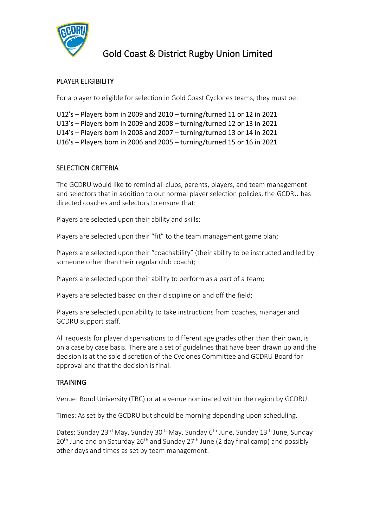

## Gold Coast & District Rugby Union Limited

### PLAYER ELIGIBILITY

For a player to eligible for selection in Gold Coast Cyclones teams, they must be:

U12's – Players born in 2009 and 2010 – turning/turned 11 or 12 in 2021

U13's – Players born in 2009 and 2008 – turning/turned 12 or 13 in 2021

U14's – Players born in 2008 and 2007 – turning/turned 13 or 14 in 2021

U16's – Players born in 2006 and 2005 – turning/turned 15 or 16 in 2021

#### SELECTION CRITERIA

The GCDRU would like to remind all clubs, parents, players, and team management and selectors that in addition to our normal player selection policies, the GCDRU has directed coaches and selectors to ensure that:

Players are selected upon their ability and skills;

Players are selected upon their "fit" to the team management game plan;

Players are selected upon their "coachability" (their ability to be instructed and led by someone other than their regular club coach);

Players are selected upon their ability to perform as a part of a team;

Players are selected based on their discipline on and off the field;

Players are selected upon ability to take instructions from coaches, manager and GCDRU support staff.

All requests for player dispensations to different age grades other than their own, is on a case by case basis. There are a set of guidelines that have been drawn up and the decision is at the sole discretion of the Cyclones Committee and GCDRU Board for approval and that the decision is final.

#### **TRAINING**

Venue: Bond University (TBC) or at a venue nominated within the region by GCDRU.

Times: As set by the GCDRU but should be morning depending upon scheduling.

Dates: Sunday 23<sup>rd</sup> May, Sunday 30<sup>th</sup> May, Sunday 6<sup>th</sup> June, Sunday 13<sup>th</sup> June, Sunday  $20<sup>th</sup>$  June and on Saturday  $26<sup>th</sup>$  and Sunday  $27<sup>th</sup>$  June (2 day final camp) and possibly other days and times as set by team management.